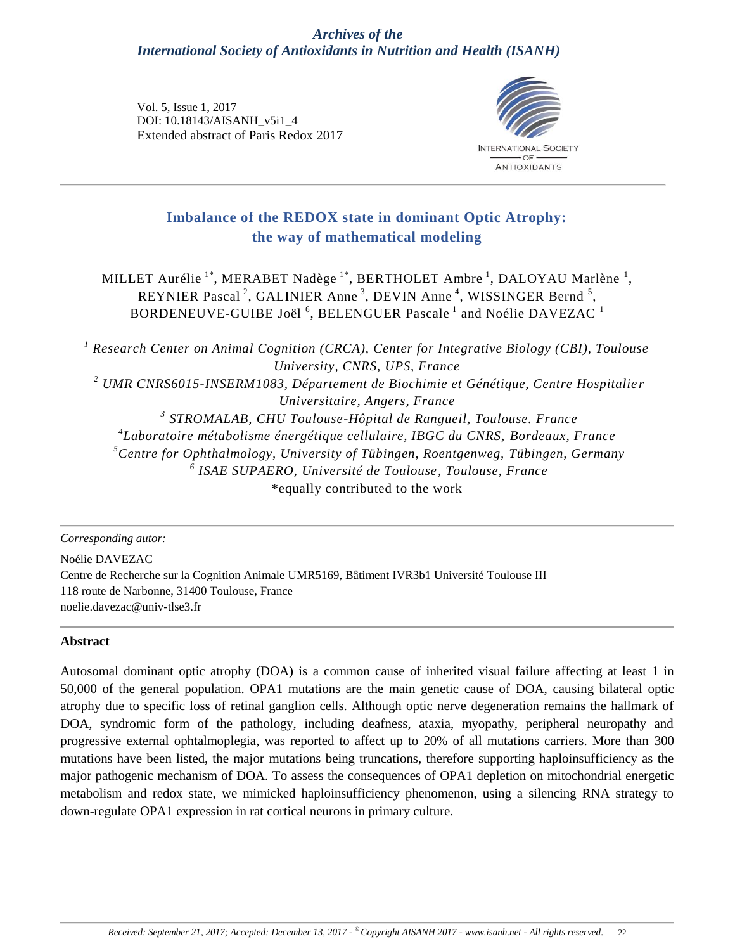## *Archives of the International Society of Antioxidants in Nutrition and Health (ISANH)*

Vol. 5, Issue 1, 2017 DOI: 10.18143/AISANH\_v5i1\_4 Extended abstract of Paris Redox 2017



# **Imbalance of the REDOX state in dominant Optic Atrophy: the way of mathematical modeling**

MILLET Aurélie <sup>1\*</sup>, MERABET Nadège <sup>1\*</sup>, BERTHOLET Ambre <sup>1</sup>, DALOYAU Marlène <sup>1</sup>, REYNIER Pascal<sup>2</sup>, GALINIER Anne<sup>3</sup>, DEVIN Anne<sup>4</sup>, WISSINGER Bernd<sup>5</sup>, BORDENEUVE-GUIBE Joël  $^6$ , BELENGUER Pascale  $^1$  and Noélie DAVEZAC  $^1$ 

 *Research Center on Animal Cognition (CRCA), Center for Integrative Biology (CBI), Toulouse University, CNRS, UPS, France UMR CNRS6015-INSERM1083, Département de Biochimie et Génétique, Centre Hospitalie r Universitaire, Angers, France STROMALAB, CHU Toulouse-Hôpital de Rangueil, Toulouse. France Laboratoire métabolisme énergétique cellulaire, IBGC du CNRS, Bordeaux, France Centre for Ophthalmology, University of Tübingen, Roentgenweg, Tübingen, Germany ISAE SUPAERO, Université de Toulouse, Toulouse, France* \*equally contributed to the work

*Corresponding autor:*

Noélie DAVEZAC Centre de Recherche sur la Cognition Animale UMR5169, Bâtiment IVR3b1 Université Toulouse III 118 route de Narbonne, 31400 Toulouse, France noelie.davezac@univ-tlse3.fr

#### **Abstract**

Autosomal dominant optic atrophy (DOA) is a common cause of inherited visual failure affecting at least 1 in 50,000 of the general population. OPA1 mutations are the main genetic cause of DOA, causing bilateral optic atrophy due to specific loss of retinal ganglion cells. Although optic nerve degeneration remains the hallmark of DOA, syndromic form of the pathology, including deafness, ataxia, myopathy, peripheral neuropathy and progressive external ophtalmoplegia, was reported to affect up to 20% of all mutations carriers. More than 300 mutations have been listed, the major mutations being truncations, therefore supporting haploinsufficiency as the major pathogenic mechanism of DOA. To assess the consequences of OPA1 depletion on mitochondrial energetic metabolism and redox state, we mimicked haploinsufficiency phenomenon, using a silencing RNA strategy to down-regulate OPA1 expression in rat cortical neurons in primary culture.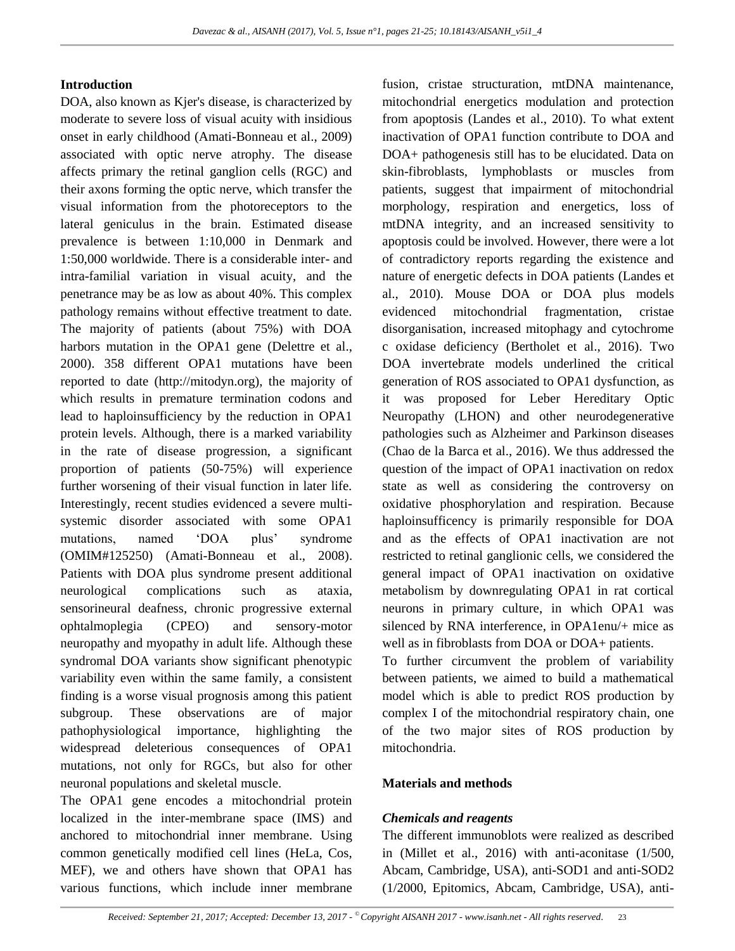#### **Introduction**

DOA, also known as Kjer's disease, is characterized by moderate to severe loss of visual acuity with insidious onset in early childhood (Amati-Bonneau et al., 2009) associated with optic nerve atrophy. The disease affects primary the retinal ganglion cells (RGC) and their axons forming the optic nerve, which transfer the visual information from the photoreceptors to the lateral geniculus in the brain. Estimated disease prevalence is between 1:10,000 in Denmark and 1:50,000 worldwide. There is a considerable inter- and intra-familial variation in visual acuity, and the penetrance may be as low as about 40%. This complex pathology remains without effective treatment to date. The majority of patients (about 75%) with DOA harbors mutation in the OPA1 gene (Delettre et al., 2000). 358 different OPA1 mutations have been reported to date (http://mitodyn.org), the majority of which results in premature termination codons and lead to haploinsufficiency by the reduction in OPA1 protein levels. Although, there is a marked variability in the rate of disease progression, a significant proportion of patients (50-75%) will experience further worsening of their visual function in later life. Interestingly, recent studies evidenced a severe multisystemic disorder associated with some OPA1 mutations, named 'DOA plus' syndrome (OMIM#125250) (Amati-Bonneau et al., 2008). Patients with DOA plus syndrome present additional neurological complications such as ataxia, sensorineural deafness, chronic progressive external ophtalmoplegia (CPEO) and sensory-motor neuropathy and myopathy in adult life. Although these syndromal DOA variants show significant phenotypic variability even within the same family, a consistent finding is a worse visual prognosis among this patient subgroup. These observations are of major pathophysiological importance, highlighting the widespread deleterious consequences of OPA1 mutations, not only for RGCs, but also for other neuronal populations and skeletal muscle.

The OPA1 gene encodes a mitochondrial protein localized in the inter-membrane space (IMS) and anchored to mitochondrial inner membrane. Using common genetically modified cell lines (HeLa, Cos, MEF), we and others have shown that OPA1 has various functions, which include inner membrane

fusion, cristae structuration, mtDNA maintenance, mitochondrial energetics modulation and protection from apoptosis (Landes et al., 2010). To what extent inactivation of OPA1 function contribute to DOA and DOA+ pathogenesis still has to be elucidated. Data on skin-fibroblasts, lymphoblasts or muscles from patients, suggest that impairment of mitochondrial morphology, respiration and energetics, loss of mtDNA integrity, and an increased sensitivity to apoptosis could be involved. However, there were a lot of contradictory reports regarding the existence and nature of energetic defects in DOA patients (Landes et al., 2010). Mouse DOA or DOA plus models evidenced mitochondrial fragmentation, cristae disorganisation, increased mitophagy and cytochrome c oxidase deficiency (Bertholet et al., 2016). Two DOA invertebrate models underlined the critical generation of ROS associated to OPA1 dysfunction, as it was proposed for Leber Hereditary Optic Neuropathy (LHON) and other neurodegenerative pathologies such as Alzheimer and Parkinson diseases (Chao de la Barca et al., 2016). We thus addressed the question of the impact of OPA1 inactivation on redox state as well as considering the controversy on oxidative phosphorylation and respiration. Because haploinsufficency is primarily responsible for DOA and as the effects of OPA1 inactivation are not restricted to retinal ganglionic cells, we considered the general impact of OPA1 inactivation on oxidative metabolism by downregulating OPA1 in rat cortical neurons in primary culture, in which OPA1 was silenced by RNA interference, in OPA1enu/+ mice as well as in fibroblasts from DOA or DOA+ patients.

To further circumvent the problem of variability between patients, we aimed to build a mathematical model which is able to predict ROS production by complex I of the mitochondrial respiratory chain, one of the two major sites of ROS production by mitochondria.

### **Materials and methods**

### *Chemicals and reagents*

The different immunoblots were realized as described in (Millet et al., 2016) with anti-aconitase (1/500, Abcam, Cambridge, USA), anti-SOD1 and anti-SOD2 (1/2000, Epitomics, Abcam, Cambridge, USA), anti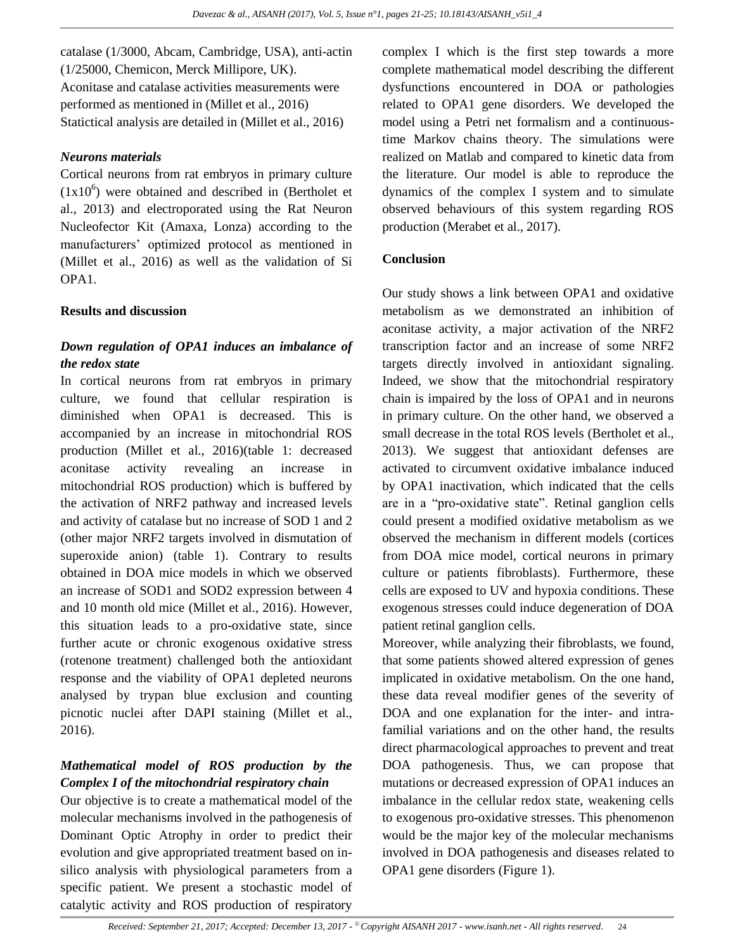catalase (1/3000, Abcam, Cambridge, USA), anti-actin (1/25000, Chemicon, Merck Millipore, UK). Aconitase and catalase activities measurements were performed as mentioned in (Millet et al., 2016) Statictical analysis are detailed in (Millet et al., 2016)

#### *Neurons materials*

Cortical neurons from rat embryos in primary culture  $(1x10<sup>6</sup>)$  were obtained and described in (Bertholet et al., 2013) and electroporated using the Rat Neuron Nucleofector Kit (Amaxa, Lonza) according to the manufacturers" optimized protocol as mentioned in (Millet et al., 2016) as well as the validation of Si OPA1.

### **Results and discussion**

# *Down regulation of OPA1 induces an imbalance of the redox state*

In cortical neurons from rat embryos in primary culture, we found that cellular respiration is diminished when OPA1 is decreased. This is accompanied by an increase in mitochondrial ROS production (Millet et al., 2016)(table 1: decreased aconitase activity revealing an increase in mitochondrial ROS production) which is buffered by the activation of NRF2 pathway and increased levels and activity of catalase but no increase of SOD 1 and 2 (other major NRF2 targets involved in dismutation of superoxide anion) (table 1). Contrary to results obtained in DOA mice models in which we observed an increase of SOD1 and SOD2 expression between 4 and 10 month old mice (Millet et al., 2016). However, this situation leads to a pro-oxidative state, since further acute or chronic exogenous oxidative stress (rotenone treatment) challenged both the antioxidant response and the viability of OPA1 depleted neurons analysed by trypan blue exclusion and counting picnotic nuclei after DAPI staining (Millet et al., 2016).

## *Mathematical model of ROS production by the Complex I of the mitochondrial respiratory chain*

Our objective is to create a mathematical model of the molecular mechanisms involved in the pathogenesis of Dominant Optic Atrophy in order to predict their evolution and give appropriated treatment based on insilico analysis with physiological parameters from a specific patient. We present a stochastic model of catalytic activity and ROS production of respiratory

complex I which is the first step towards a more complete mathematical model describing the different dysfunctions encountered in DOA or pathologies related to OPA1 gene disorders. We developed the model using a Petri net formalism and a continuoustime Markov chains theory. The simulations were realized on Matlab and compared to kinetic data from the literature. Our model is able to reproduce the dynamics of the complex I system and to simulate observed behaviours of this system regarding ROS production (Merabet et al., 2017).

### **Conclusion**

Our study shows a link between OPA1 and oxidative metabolism as we demonstrated an inhibition of aconitase activity, a major activation of the NRF2 transcription factor and an increase of some NRF2 targets directly involved in antioxidant signaling. Indeed, we show that the mitochondrial respiratory chain is impaired by the loss of OPA1 and in neurons in primary culture. On the other hand, we observed a small decrease in the total ROS levels (Bertholet et al., 2013). We suggest that antioxidant defenses are activated to circumvent oxidative imbalance induced by OPA1 inactivation, which indicated that the cells are in a "pro-oxidative state". Retinal ganglion cells could present a modified oxidative metabolism as we observed the mechanism in different models (cortices from DOA mice model, cortical neurons in primary culture or patients fibroblasts). Furthermore, these cells are exposed to UV and hypoxia conditions. These exogenous stresses could induce degeneration of DOA patient retinal ganglion cells.

Moreover, while analyzing their fibroblasts, we found, that some patients showed altered expression of genes implicated in oxidative metabolism. On the one hand, these data reveal modifier genes of the severity of DOA and one explanation for the inter- and intrafamilial variations and on the other hand, the results direct pharmacological approaches to prevent and treat DOA pathogenesis. Thus, we can propose that mutations or decreased expression of OPA1 induces an imbalance in the cellular redox state, weakening cells to exogenous pro-oxidative stresses. This phenomenon would be the major key of the molecular mechanisms involved in DOA pathogenesis and diseases related to OPA1 gene disorders (Figure 1).